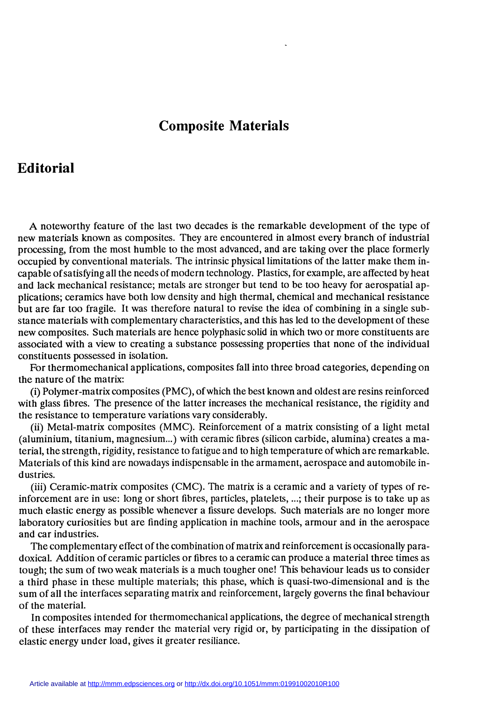## Composite Materials

## Editorial

A noteworthy feature of the last two decades is the remarkable development of the type of new materials known as composites. They are encountered in almost every branch of industrial processing, from the most humble to the most advanced, and are taking over the place formerly occupied by conventional materials. The intrinsic physical limitations of the latter make them incapable of satisfying all the needs of modern technology. Plastics, for example, are affected by heat and lack mechanical resistance; metals are stronger but tend to be too heavy for aerospatial applications; ceramics have both low density and high thermal, chemical and mechanical resistance but are far too fragile. It was therefore natural to revise the idea of combining in a single substance materials with complementary characteristics, and this has led to the development of these new composites. Such materials are hence polyphasic solid in which two or more constituents are associated with a view to creating a substance possessing properties that none of the individual constituents possessed in isolation.

For thermomechanical applications, composites fall into three broad categories, depending on the nature of the matrix:

(i) Polymer-matrix composites (PMC), of which the best known and oldest are resins reinforced with glass fibres. The presence of the latter increases the mechanical resistance, the rigidity and the resistance to temperature variations vary considerably.

(ii) Metal-matrix composites (MMC). Reinforcement of a matrix consisting of a light metal (aluminium, titanium, magnesium...) with ceramic fibres (silicon carbide, alumina) creates a material, the strength, rigidity, resistance to fatigue and to high temperature of which are remarkable. Materials of this kind are nowadays indispensable in the armament, aerospace and automobile industries.

(iii) Ceramic-matrix composites (CMC). The matrix is a ceramic and a variety of types of reinforcement are in use: long or short fibres, particles, platelets, ...; their purpose is to take up as much elastic energy as possible whenever a fissure develops. Such materials are no longer more laboratory curiosities but are finding application in machine tools, armour and in the aerospace and car industries.

The complementary effect of the combination of matrix and reinforcement is occasionally paradoxical. Addition of ceramic particles or fibres to a ceramic can produce a material three times as tough; the sum of two weak materials is a much tougher one! This behaviour leads us to consider a third phase in these multiple materials; this phase, which is quasi-two-dimensional and is the sum of all the interfaces separating matrix and reinforcement, largely governs the final behaviour of the material.

In composites intended for thermomechanical applications, the degree of mechanical strength of these interfaces may render the material very rigid or, by participating in the dissipation of elastic energy under load, gives it greater resiliance.